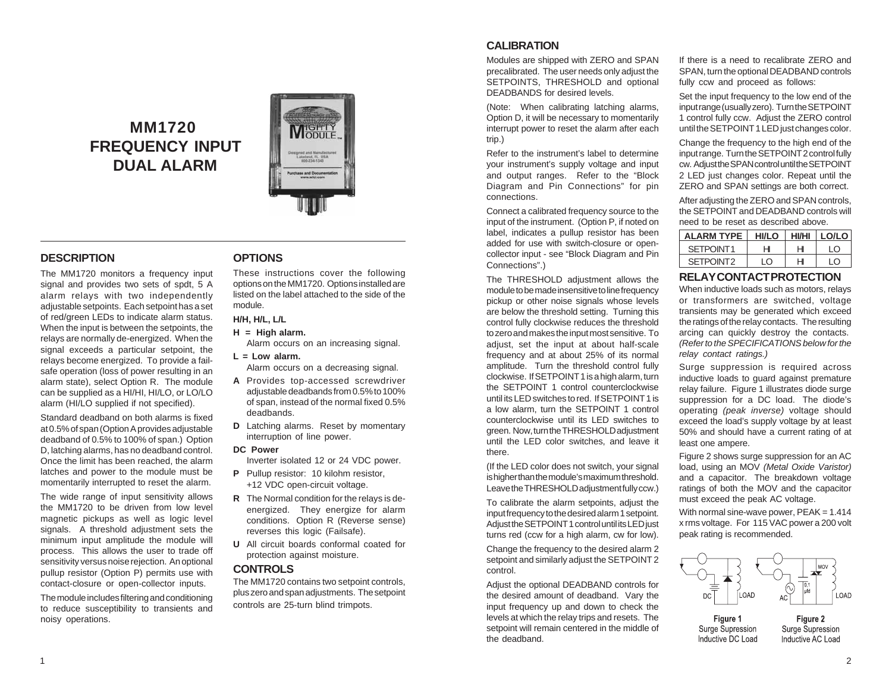# **MM1720 FREQUENCY INPUT DUAL ALARM**



## **DESCRIPTION**

The MM1720 monitors a frequency input signal and provides two sets of spdt, 5 A alarm relays with two independently adjustable setpoints. Each setpoint has a set of red/green LEDs to indicate alarm status. When the input is between the setpoints, the relays are normally de-energized. When the signal exceeds a particular setpoint, the relays become energized. To provide a failsafe operation (loss of power resulting in an alarm state), select Option R. The module can be supplied as a HI/HI, HI/LO, or LO/LO alarm (HI/LO supplied if not specified).

Standard deadband on both alarms is fixed at 0.5% of span (Option A provides adjustable deadband of 0.5% to 100% of span.) Option D, latching alarms, has no deadband control. Once the limit has been reached, the alarm latches and power to the module must be momentarily interrupted to reset the alarm.

The wide range of input sensitivity allows the MM1720 to be driven from low level magnetic pickups as well as logic level signals. A threshold adjustment sets the minimum input amplitude the module will process. This allows the user to trade off sensitivity versus noise rejection. An optional pullup resistor (Option P) permits use with contact-closure or open-collector inputs.

The module includes filtering and conditioning to reduce susceptibility to transients and noisy operations.

### **OPTIONS**

These instructions cover the following options on the MM1720. Options installed are listed on the label attached to the side of the module.

### **H/H, H/L, L/L**

#### **H = High alarm.**

- Alarm occurs on an increasing signal.
- **L = Low alarm.**  Alarm occurs on a decreasing signal.
- **A** Provides top-accessed screwdriver adjustable deadbands from 0.5% to 100% of span, instead of the normal fixed 0.5% deadbands.
- **D** Latching alarms. Reset by momentary interruption of line power.

#### **DC Power**

Inverter isolated 12 or 24 VDC power.

- **P** Pullup resistor: 10 kilohm resistor, +12 VDC open-circuit voltage.
- **R** The Normal condition for the relays is deenergized. They energize for alarm conditions. Option R (Reverse sense) reverses this logic (Failsafe).
- **U** All circuit boards conformal coated for protection against moisture.

### **CONTROLS**

The MM1720 contains two setpoint controls, plus zero and span adjustments. The setpoint controls are 25-turn blind trimpots.

# **CALIBRATION**

Modules are shipped with ZERO and SPAN precalibrated. The user needs only adjust the SETPOINTS, THRESHOLD and optional DEADBANDS for desired levels.

(Note: When calibrating latching alarms, Option D, it will be necessary to momentarily interrupt power to reset the alarm after each trip.)

Refer to the instrument's label to determine your instrument's supply voltage and input and output ranges. Refer to the "Block Diagram and Pin Connections" for pin connections.

Connect a calibrated frequency source to the input of the instrument. (Option P, if noted on label, indicates a pullup resistor has been added for use with switch-closure or opencollector input - see "Block Diagram and Pin Connections".)

The THRESHOLD adjustment allows the module to be made insensitive to line frequency pickup or other noise signals whose levels are below the threshold setting. Turning this control fully clockwise reduces the threshold to zero and makes the input most sensitive. To adjust, set the input at about half-scale frequency and at about 25% of its normal amplitude. Turn the threshold control fully clockwise. If SETPOINT 1 is a high alarm, turn the SETPOINT 1 control counterclockwise until its LED switches to red. If SETPOINT 1 is a low alarm, turn the SETPOINT 1 control counterclockwise until its LED switches to green. Now, turn the THRESHOLD adjustment until the LED color switches, and leave it there.

(If the LED color does not switch, your signal is higher than the module's maximum threshold. Leave the THRESHOLD adjustment fully ccw.)

To calibrate the alarm setpoints, adjust the input frequency to the desired alarm 1 setpoint. Adjust the SETPOINT 1 control until its LED just turns red (ccw for a high alarm, cw for low).

Change the frequency to the desired alarm 2 setpoint and similarly adjust the SETPOINT 2 control.

Adjust the optional DEADBAND controls for the desired amount of deadband. Vary the input frequency up and down to check the levels at which the relay trips and resets. The setpoint will remain centered in the middle of the deadband.

If there is a need to recalibrate ZERO and SPAN, turn the optional DEADBAND controls fully ccw and proceed as follows:

Set the input frequency to the low end of the input range (usually zero). Turn the SETPOINT 1 control fully ccw. Adjust the ZERO control until the SETPOINT 1 LED just changes color.

Change the frequency to the high end of the input range. Turn the SETPOINT 2 control fully cw. Adjust the SPAN control until the SETPOINT 2 LED just changes color. Repeat until the ZERO and SPAN settings are both correct.

After adjusting the ZERO and SPAN controls, the SETPOINT and DEADBAND controls will need to be reset as described above.

| <b>ALARM TYPE</b>     | <b>HI/LO</b> | <b>HI/HI</b> | LO/LO      |
|-----------------------|--------------|--------------|------------|
| SETPOINT1             |              |              | ח ו        |
| SFTPOINT <sub>2</sub> | $\cap$       |              | $\sqrt{2}$ |

### **RELAY CONTACT PROTECTION**

When inductive loads such as motors, relays or transformers are switched, voltage transients may be generated which exceed the ratings of the relay contacts. The resulting arcing can quickly destroy the contacts. *(Refer to the SPECIFICATIONS below for the relay contact ratings.)*

Surge suppression is required across inductive loads to guard against premature relay failure. Figure 1 illustrates diode surge suppression for a DC load. The diode's operating *(peak inverse)* voltage should exceed the load's supply voltage by at least 50% and should have a current rating of at least one ampere.

Figure 2 shows surge suppression for an AC load, using an MOV *(Metal Oxide Varistor)* and a capacitor. The breakdown voltage ratings of both the MOV and the capacitor must exceed the peak AC voltage.

With normal sine-wave power,  $PEAK = 1.414$ x rms voltage. For 115 VAC power a 200 volt peak rating is recommended.



Inductive DC Load

Inductive AC Load